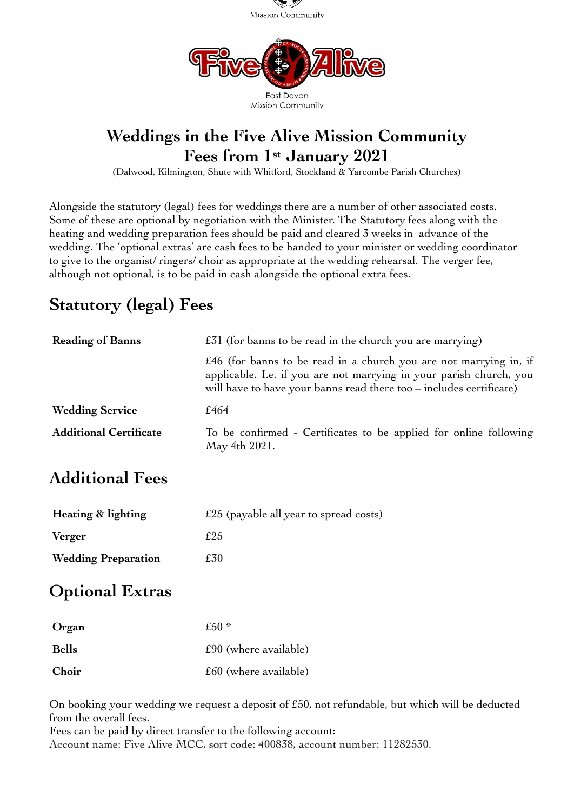

#### Mission Community

## **Weddings in the Five Alive Mission Community Fees from 1st January 2021**

(Dalwood, Kilmington, Shute with Whitford, Stockland & Yarcombe Parish Churches)

Alongside the statutory (legal) fees for weddings there are a number of other associated costs. Some of these are optional by negotiation with the Minister. The Statutory fees along with the heating and wedding preparation fees should be paid and cleared 3 weeks in advance of the wedding. The 'optional extras' are cash fees to be handed to your minister or wedding coordinator to give to the organist/ ringers/ choir as appropriate at the wedding rehearsal. The verger fee, although not optional, is to be paid in cash alongside the optional extra fees.

# **Statutory (legal) Fees**

| <b>Reading of Banns</b>       | £31 (for banns to be read in the church you are marrying)                                                                                                                                                       |  |
|-------------------------------|-----------------------------------------------------------------------------------------------------------------------------------------------------------------------------------------------------------------|--|
|                               | £46 (for banns to be read in a church you are not marrying in, if<br>applicable. I.e. if you are not marrying in your parish church, you<br>will have to have your banns read there too - includes certificate) |  |
| <b>Wedding Service</b>        | £464                                                                                                                                                                                                            |  |
| <b>Additional Certificate</b> | To be confirmed - Certificates to be applied for online following<br>May 4th 2021.                                                                                                                              |  |

## **Additional Fees**

| Heating & lighting         | $£25$ (payable all year to spread costs) |
|----------------------------|------------------------------------------|
| Verger                     | £25                                      |
| <b>Wedding Preparation</b> | £30                                      |

## **Optional Extras**

| Organ        | $f50*$                  |
|--------------|-------------------------|
| <b>Bells</b> | £90 (where available)   |
| Choir        | $£60$ (where available) |

On booking your wedding we request a deposit of £50, not refundable, but which will be deducted from the overall fees.

Fees can be paid by direct transfer to the following account: Account name: Five Alive MCC, sort code: 400838, account number: 11282530.